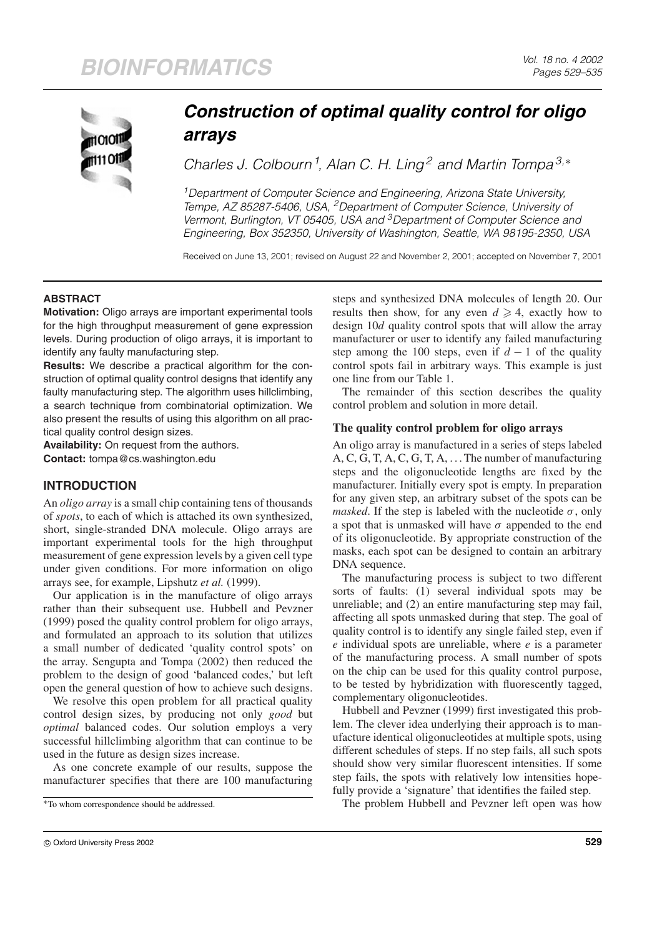

# *Construction of optimal quality control for oligo arrays*

*Charles J. Colbourn<sup>1</sup> , Alan C. H. Ling<sup>2</sup> and Martin Tompa3,*<sup>∗</sup>

*1Department of Computer Science and Engineering, Arizona State University, Tempe, AZ 85287-5406, USA, 2Department of Computer Science, University of Vermont, Burlington, VT 05405, USA and 3Department of Computer Science and Engineering, Box 352350, University of Washington, Seattle, WA 98195-2350, USA*

Received on June 13, 2001; revised on August 22 and November 2, 2001; accepted on November 7, 2001

## **ABSTRACT**

**Motivation:** Oligo arrays are important experimental tools for the high throughput measurement of gene expression levels. During production of oligo arrays, it is important to identify any faulty manufacturing step.

**Results:** We describe a practical algorithm for the construction of optimal quality control designs that identify any faulty manufacturing step. The algorithm uses hillclimbing, a search technique from combinatorial optimization. We also present the results of using this algorithm on all practical quality control design sizes.

**Availability:** On request from the authors. **Contact:** tompa@cs.washington.edu

# **INTRODUCTION**

An *oligo array* is a small chip containing tens of thousands of *spots*, to each of which is attached its own synthesized, short, single-stranded DNA molecule. Oligo arrays are important experimental tools for the high throughput measurement of gene expression levels by a given cell type under given conditions. For more information on oligo arrays see, for example, Lipshutz *et al.* (1999).

Our application is in the manufacture of oligo arrays rather than their subsequent use. Hubbell and Pevzner (1999) posed the quality control problem for oligo arrays, and formulated an approach to its solution that utilizes a small number of dedicated 'quality control spots' on the array. Sengupta and Tompa (2002) then reduced the problem to the design of good 'balanced codes,' but left open the general question of how to achieve such designs.

We resolve this open problem for all practical quality control design sizes, by producing not only *good* but *optimal* balanced codes. Our solution employs a very successful hillclimbing algorithm that can continue to be used in the future as design sizes increase.

As one concrete example of our results, suppose the manufacturer specifies that there are 100 manufacturing steps and synthesized DNA molecules of length 20. Our results then show, for any even  $d \geq 4$ , exactly how to design 10*d* quality control spots that will allow the array manufacturer or user to identify any failed manufacturing step among the 100 steps, even if  $d-1$  of the quality control spots fail in arbitrary ways. This example is just one line from our Table 1.

The remainder of this section describes the quality control problem and solution in more detail.

## **The quality control problem for oligo arrays**

An oligo array is manufactured in a series of steps labeled A, C, G, T, A, C, G, T, A, . . . The number of manufacturing steps and the oligonucleotide lengths are fixed by the manufacturer. Initially every spot is empty. In preparation for any given step, an arbitrary subset of the spots can be *masked*. If the step is labeled with the nucleotide  $\sigma$ , only a spot that is unmasked will have  $\sigma$  appended to the end of its oligonucleotide. By appropriate construction of the masks, each spot can be designed to contain an arbitrary DNA sequence.

The manufacturing process is subject to two different sorts of faults: (1) several individual spots may be unreliable; and (2) an entire manufacturing step may fail, affecting all spots unmasked during that step. The goal of quality control is to identify any single failed step, even if *e* individual spots are unreliable, where *e* is a parameter of the manufacturing process. A small number of spots on the chip can be used for this quality control purpose, to be tested by hybridization with fluorescently tagged, complementary oligonucleotides.

Hubbell and Pevzner (1999) first investigated this problem. The clever idea underlying their approach is to manufacture identical oligonucleotides at multiple spots, using different schedules of steps. If no step fails, all such spots should show very similar fluorescent intensities. If some step fails, the spots with relatively low intensities hopefully provide a 'signature' that identifies the failed step.

The problem Hubbell and Pevzner left open was how

<sup>∗</sup>To whom correspondence should be addressed.

c Oxford University Press 2002 **529**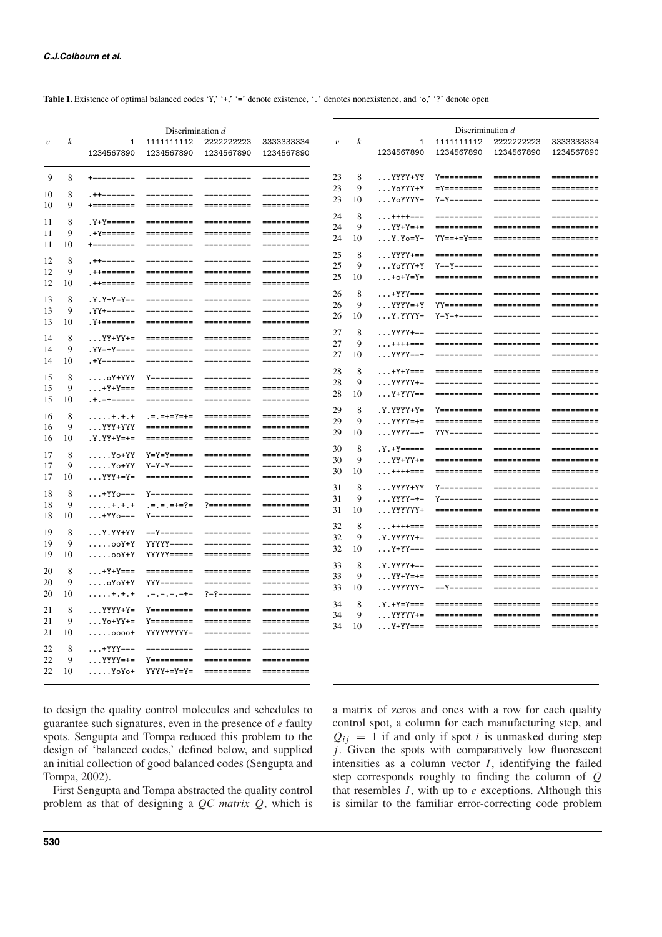|  |  |  |  |  |  |  |  |  |  | <b>Table 1.</b> Existence of optimal balanced codes 'Y,' '+', ' =' denote existence, '. ' denotes nonexistence, and 'o,' '?' denote open |  |  |  |
|--|--|--|--|--|--|--|--|--|--|------------------------------------------------------------------------------------------------------------------------------------------|--|--|--|
|--|--|--|--|--|--|--|--|--|--|------------------------------------------------------------------------------------------------------------------------------------------|--|--|--|

|            |                  |                       | Discrimination d                                                           |                                        |                                                                                                                                                                                                                                                                                                                                                                                                                                                                                        |                  |                  | Discrimination d               |                                           |                                                                                                                                                                                                                                                                                                                                                                                                                                                                                                                                                            |                                                                                                                                 |  |  |  |
|------------|------------------|-----------------------|----------------------------------------------------------------------------|----------------------------------------|----------------------------------------------------------------------------------------------------------------------------------------------------------------------------------------------------------------------------------------------------------------------------------------------------------------------------------------------------------------------------------------------------------------------------------------------------------------------------------------|------------------|------------------|--------------------------------|-------------------------------------------|------------------------------------------------------------------------------------------------------------------------------------------------------------------------------------------------------------------------------------------------------------------------------------------------------------------------------------------------------------------------------------------------------------------------------------------------------------------------------------------------------------------------------------------------------------|---------------------------------------------------------------------------------------------------------------------------------|--|--|--|
| $\upsilon$ | $\boldsymbol{k}$ | $\mathbf{1}$          |                                                                            | 1111111112 2222222223                  | 3333333334                                                                                                                                                                                                                                                                                                                                                                                                                                                                             | $\boldsymbol{v}$ | $\boldsymbol{k}$ | $\mathbf{1}$                   |                                           | 1111111112 2222222223                                                                                                                                                                                                                                                                                                                                                                                                                                                                                                                                      | 3333333334                                                                                                                      |  |  |  |
|            |                  | 1234567890            | 1234567890                                                                 | 1234567890                             | 1234567890                                                                                                                                                                                                                                                                                                                                                                                                                                                                             |                  |                  | 1234567890                     |                                           | 1234567890  1234567890  1234567890                                                                                                                                                                                                                                                                                                                                                                                                                                                                                                                         |                                                                                                                                 |  |  |  |
| 9          | 8                | $+$ = = = = = = = = = | ==========                                                                 | ==========                             |                                                                                                                                                                                                                                                                                                                                                                                                                                                                                        | 23               | 8                |                                |                                           |                                                                                                                                                                                                                                                                                                                                                                                                                                                                                                                                                            |                                                                                                                                 |  |  |  |
| 10         | 8                | . ++=======           | ==========                                                                 | ==========                             |                                                                                                                                                                                                                                                                                                                                                                                                                                                                                        | 23               | 9                |                                |                                           |                                                                                                                                                                                                                                                                                                                                                                                                                                                                                                                                                            |                                                                                                                                 |  |  |  |
| 10         | 9                | $+$ = = = = = = = = = | ==========                                                                 | ==========                             |                                                                                                                                                                                                                                                                                                                                                                                                                                                                                        | 23               | 10               |                                | $Y = 2$ = = = = $Y = Y = 3$ + $Y = Y - 3$ |                                                                                                                                                                                                                                                                                                                                                                                                                                                                                                                                                            | ==========                                                                                                                      |  |  |  |
|            | 8                |                       | . Y+Y====== ===========                                                    | ==========                             |                                                                                                                                                                                                                                                                                                                                                                                                                                                                                        | 24               | 8                |                                | ++++=== ==========                        |                                                                                                                                                                                                                                                                                                                                                                                                                                                                                                                                                            | ==========                                                                                                                      |  |  |  |
| 11<br>11   | 9                |                       | .+Y======= ===========                                                     | ==========                             |                                                                                                                                                                                                                                                                                                                                                                                                                                                                                        | 24               | 9                |                                | $\ldots$ YY+Y=+= ===========              |                                                                                                                                                                                                                                                                                                                                                                                                                                                                                                                                                            | ==========                                                                                                                      |  |  |  |
| 11         | 10               |                       |                                                                            | ==========                             |                                                                                                                                                                                                                                                                                                                                                                                                                                                                                        | 24               | 10               | $\ldots$ Y $\ldots$ Y $\ldots$ | үү==+=ү===                                |                                                                                                                                                                                                                                                                                                                                                                                                                                                                                                                                                            |                                                                                                                                 |  |  |  |
|            |                  |                       |                                                                            |                                        |                                                                                                                                                                                                                                                                                                                                                                                                                                                                                        | 25               | 8                |                                | YYYY+==  ==========                       |                                                                                                                                                                                                                                                                                                                                                                                                                                                                                                                                                            | ==========                                                                                                                      |  |  |  |
| 12         | 8                |                       | ,++=======   ==========                                                    | ==========                             |                                                                                                                                                                                                                                                                                                                                                                                                                                                                                        | 25               | 9                |                                | $Y = Y = Y = Y = Y = Y - Y - Y - Y = Z$   | ==========                                                                                                                                                                                                                                                                                                                                                                                                                                                                                                                                                 | ==========                                                                                                                      |  |  |  |
| 12         | 9                | . ++=======           | ==========                                                                 | ==========                             |                                                                                                                                                                                                                                                                                                                                                                                                                                                                                        | 25               | 10               |                                | $\ldots$ +0+Y=Y= ===========              | ==========                                                                                                                                                                                                                                                                                                                                                                                                                                                                                                                                                 | ==========                                                                                                                      |  |  |  |
| 12         | 10               | .++=======            | ==========                                                                 |                                        |                                                                                                                                                                                                                                                                                                                                                                                                                                                                                        | 26               | 8                |                                |                                           |                                                                                                                                                                                                                                                                                                                                                                                                                                                                                                                                                            |                                                                                                                                 |  |  |  |
| 13         | 8                |                       |                                                                            | ==========                             |                                                                                                                                                                                                                                                                                                                                                                                                                                                                                        | 26               | 9                |                                |                                           |                                                                                                                                                                                                                                                                                                                                                                                                                                                                                                                                                            |                                                                                                                                 |  |  |  |
| 13         | 9                |                       | .YY+====== ===========                                                     | ==========                             |                                                                                                                                                                                                                                                                                                                                                                                                                                                                                        | 26               | 10               |                                |                                           |                                                                                                                                                                                                                                                                                                                                                                                                                                                                                                                                                            | ==========                                                                                                                      |  |  |  |
| 13         | 10               |                       |                                                                            | ==========                             |                                                                                                                                                                                                                                                                                                                                                                                                                                                                                        |                  |                  |                                |                                           |                                                                                                                                                                                                                                                                                                                                                                                                                                                                                                                                                            |                                                                                                                                 |  |  |  |
| 14         | 8                |                       | $\ldots$ YY+YY+= ===========                                               | ==========                             |                                                                                                                                                                                                                                                                                                                                                                                                                                                                                        | 27               | 8                |                                |                                           |                                                                                                                                                                                                                                                                                                                                                                                                                                                                                                                                                            | ==========                                                                                                                      |  |  |  |
| 14         | 9                |                       |                                                                            | ==========                             |                                                                                                                                                                                                                                                                                                                                                                                                                                                                                        | 27               | 9                |                                | ++++=== ==========                        | ==========                                                                                                                                                                                                                                                                                                                                                                                                                                                                                                                                                 | ==========                                                                                                                      |  |  |  |
| 14         | 10               |                       |                                                                            | ==========                             | <b>Excessered</b>                                                                                                                                                                                                                                                                                                                                                                                                                                                                      | 27               | 10               |                                | $\ldots$ YYYY ==+ ===========             | ==========                                                                                                                                                                                                                                                                                                                                                                                                                                                                                                                                                 | ==========                                                                                                                      |  |  |  |
|            |                  |                       |                                                                            |                                        |                                                                                                                                                                                                                                                                                                                                                                                                                                                                                        | 28               | 8                |                                | +Y+Y=== =========== ==========            |                                                                                                                                                                                                                                                                                                                                                                                                                                                                                                                                                            | __________                                                                                                                      |  |  |  |
| 15         | 8                |                       |                                                                            |                                        | $\begin{array}{cccccccccc} \multicolumn{2}{c}{} & \multicolumn{2}{c}{} & \multicolumn{2}{c}{} & \multicolumn{2}{c}{} & \multicolumn{2}{c}{} & \multicolumn{2}{c}{} & \multicolumn{2}{c}{} & \multicolumn{2}{c}{} & \multicolumn{2}{c}{} & \multicolumn{2}{c}{} & \multicolumn{2}{c}{} & \multicolumn{2}{c}{} & \multicolumn{2}{c}{} & \multicolumn{2}{c}{} & \multicolumn{2}{c}{} & \multicolumn{2}{c}{} & \multicolumn{2}{c}{} & \multicolumn{2}{c}{} & \multicolumn{2}{c}{} & \mult$ | 28               | 9                |                                | $\ldots$ YYYYY+= ==========               |                                                                                                                                                                                                                                                                                                                                                                                                                                                                                                                                                            | $\begin{array}{c} \multicolumn{3}{c} {\color{blue} \textbf{m} = \textbf{m} = \textbf{m} = \textbf{m} = \textbf{m}} \end{array}$ |  |  |  |
| 15<br>15   | 9<br>10          | .+.=+=====            | $\ldots$ +Y+Y=== ===========<br>==========                                 | ==========<br>==========               |                                                                                                                                                                                                                                                                                                                                                                                                                                                                                        | 28               | 10               |                                |                                           |                                                                                                                                                                                                                                                                                                                                                                                                                                                                                                                                                            | ==========                                                                                                                      |  |  |  |
|            |                  |                       |                                                                            |                                        |                                                                                                                                                                                                                                                                                                                                                                                                                                                                                        | 29               | 8                |                                |                                           |                                                                                                                                                                                                                                                                                                                                                                                                                                                                                                                                                            | ==========                                                                                                                      |  |  |  |
| 16         | 8                | $$ +.+.+              | .=.=+=?=+= ==========                                                      |                                        | ==========                                                                                                                                                                                                                                                                                                                                                                                                                                                                             | 29               | 9                |                                | YYYY=+= ===========                       | ==========                                                                                                                                                                                                                                                                                                                                                                                                                                                                                                                                                 | ==========                                                                                                                      |  |  |  |
| 16         | 9                |                       | YYY+YYY ========== ===========                                             |                                        |                                                                                                                                                                                                                                                                                                                                                                                                                                                                                        | 29               | 10               |                                |                                           |                                                                                                                                                                                                                                                                                                                                                                                                                                                                                                                                                            | ==========                                                                                                                      |  |  |  |
| 16         | 10               |                       | .Y.YY+Y=+= ========== ============                                         |                                        | ==========                                                                                                                                                                                                                                                                                                                                                                                                                                                                             |                  |                  |                                |                                           |                                                                                                                                                                                                                                                                                                                                                                                                                                                                                                                                                            |                                                                                                                                 |  |  |  |
| 17         | 8                |                       |                                                                            |                                        |                                                                                                                                                                                                                                                                                                                                                                                                                                                                                        | 30               | 8                |                                |                                           | ==========                                                                                                                                                                                                                                                                                                                                                                                                                                                                                                                                                 | ==========                                                                                                                      |  |  |  |
| 17         | 9                |                       | $Y = Y = Y = Y = Y = Y = 0$                                                | ==========                             | $\begin{array}{cccccccccc} \multicolumn{2}{c}{} & \multicolumn{2}{c}{} & \multicolumn{2}{c}{} & \multicolumn{2}{c}{} & \multicolumn{2}{c}{} & \multicolumn{2}{c}{} & \multicolumn{2}{c}{} & \multicolumn{2}{c}{} & \multicolumn{2}{c}{} & \multicolumn{2}{c}{} & \multicolumn{2}{c}{} & \multicolumn{2}{c}{} & \multicolumn{2}{c}{} & \multicolumn{2}{c}{} & \multicolumn{2}{c}{} & \multicolumn{2}{c}{} & \multicolumn{2}{c}{} & \multicolumn{2}{c}{} & \multicolumn{2}{c}{} & \mult$ | 30               | 9                |                                | $\ldots$ YY+YY+= ===========              |                                                                                                                                                                                                                                                                                                                                                                                                                                                                                                                                                            | ==========                                                                                                                      |  |  |  |
| 17         | 10               | $\ldots$ YYY+=Y=      | ----------                                                                 | ==========                             |                                                                                                                                                                                                                                                                                                                                                                                                                                                                                        | 30               | 10               |                                | ++++=== ==========                        | ==========                                                                                                                                                                                                                                                                                                                                                                                                                                                                                                                                                 | ==========                                                                                                                      |  |  |  |
|            |                  |                       |                                                                            |                                        |                                                                                                                                                                                                                                                                                                                                                                                                                                                                                        | 31               | 8                |                                | $\ldots$ YYYY+YY Y=========               |                                                                                                                                                                                                                                                                                                                                                                                                                                                                                                                                                            | ==========                                                                                                                      |  |  |  |
| 18         | 8                |                       |                                                                            |                                        | ----------                                                                                                                                                                                                                                                                                                                                                                                                                                                                             | 31               | 9                |                                |                                           | ==========                                                                                                                                                                                                                                                                                                                                                                                                                                                                                                                                                 | ==========                                                                                                                      |  |  |  |
| 18         | 9                | $,++++$               | .=.=.=+=?= ?=========                                                      |                                        | ==========                                                                                                                                                                                                                                                                                                                                                                                                                                                                             | 31               | 10               | $\ldots$ YYYYYY+               | ==========                                | ==========                                                                                                                                                                                                                                                                                                                                                                                                                                                                                                                                                 | ==========                                                                                                                      |  |  |  |
| 18         | 10               |                       |                                                                            |                                        |                                                                                                                                                                                                                                                                                                                                                                                                                                                                                        |                  |                  |                                |                                           |                                                                                                                                                                                                                                                                                                                                                                                                                                                                                                                                                            |                                                                                                                                 |  |  |  |
| 19         | 8                |                       | Y.YY+YY ==Y====== ============                                             |                                        |                                                                                                                                                                                                                                                                                                                                                                                                                                                                                        | 32               | 8                |                                | ++++=== ==========                        | $\begin{tabular}{ll} \multicolumn{3}{l}{{\color{red}\boldsymbol{=}}} & \multicolumn{3}{l}{\color{blue}\boldsymbol{=}} & \multicolumn{3}{l}{\color{blue}\boldsymbol{=}} & \multicolumn{3}{l}{\color{blue}\boldsymbol{=}} & \multicolumn{3}{l}{\color{blue}\boldsymbol{=}} & \multicolumn{3}{l}{\color{blue}\boldsymbol{=}} & \multicolumn{3}{l}{\color{blue}\boldsymbol{=}} & \multicolumn{3}{l}{\color{blue}\boldsymbol{=}} & \multicolumn{3}{l}{\color{blue}\boldsymbol{=}} & \multicolumn{3}{l}{\color{blue}\boldsymbol{=}} & \multicolumn{3}{l}{\color$ | ==========                                                                                                                      |  |  |  |
| 19         | 9                |                       | $\ldots$ ooY+Y YYYYY===== ============                                     |                                        |                                                                                                                                                                                                                                                                                                                                                                                                                                                                                        | 32               | 9                |                                | $.Y. YYYYY+- = 11.44$                     | ==========                                                                                                                                                                                                                                                                                                                                                                                                                                                                                                                                                 | -----------                                                                                                                     |  |  |  |
| 19         | 10               |                       | $\ldots$ ooY+Y YYYYY===== ============                                     |                                        |                                                                                                                                                                                                                                                                                                                                                                                                                                                                                        | 32               | 10               |                                | $\ldots$ Y+YY === ============            | =====================                                                                                                                                                                                                                                                                                                                                                                                                                                                                                                                                      |                                                                                                                                 |  |  |  |
| 20         | 8                |                       | +Y+Y=== ========== ==========                                              |                                        |                                                                                                                                                                                                                                                                                                                                                                                                                                                                                        | 33               | 8                |                                | $.Y. YYYY += = = = = = = = = = = = = =$   | ==========                                                                                                                                                                                                                                                                                                                                                                                                                                                                                                                                                 | ==========                                                                                                                      |  |  |  |
| 20         | 9                |                       | $\ldots$ . $\circ$ YoY+Y YYY========                                       | ==========                             |                                                                                                                                                                                                                                                                                                                                                                                                                                                                                        | 33               | 9                |                                | $\ldots$ YY+Y=+= ===========              |                                                                                                                                                                                                                                                                                                                                                                                                                                                                                                                                                            |                                                                                                                                 |  |  |  |
| 20         | 10               | $+++$                 | 1.75.75.75.777                                                             | ?=?=======                             |                                                                                                                                                                                                                                                                                                                                                                                                                                                                                        | 33               | 10               |                                |                                           |                                                                                                                                                                                                                                                                                                                                                                                                                                                                                                                                                            |                                                                                                                                 |  |  |  |
|            | 8                |                       |                                                                            |                                        |                                                                                                                                                                                                                                                                                                                                                                                                                                                                                        | 34               | 8                |                                | .Y.+Y=Y=== ========== ===========         |                                                                                                                                                                                                                                                                                                                                                                                                                                                                                                                                                            | __________                                                                                                                      |  |  |  |
| 21         | 9                |                       |                                                                            | ==========                             |                                                                                                                                                                                                                                                                                                                                                                                                                                                                                        | 34               | 9                |                                |                                           |                                                                                                                                                                                                                                                                                                                                                                                                                                                                                                                                                            | ==========                                                                                                                      |  |  |  |
| 21<br>21   | 10               |                       | $\ldots$ Yo+YY+= Y=========<br>$\ldots \ldots$ 0000+ YYYYYYYYY= ========== |                                        | $\begin{array}{cccccccccc} \multicolumn{2}{c}{} & \multicolumn{2}{c}{} & \multicolumn{2}{c}{} & \multicolumn{2}{c}{} & \multicolumn{2}{c}{} & \multicolumn{2}{c}{} & \multicolumn{2}{c}{} & \multicolumn{2}{c}{} & \multicolumn{2}{c}{} & \multicolumn{2}{c}{} & \multicolumn{2}{c}{} & \multicolumn{2}{c}{} & \multicolumn{2}{c}{} & \multicolumn{2}{c}{} & \multicolumn{2}{c}{} & \multicolumn{2}{c}{} & \multicolumn{2}{c}{} & \multicolumn{2}{c}{} & \multicolumn{2}{c}{} & \mult$ | 34               | 10               |                                | Y+YY=== ========== ==========             |                                                                                                                                                                                                                                                                                                                                                                                                                                                                                                                                                            | __________                                                                                                                      |  |  |  |
|            |                  |                       |                                                                            |                                        |                                                                                                                                                                                                                                                                                                                                                                                                                                                                                        |                  |                  |                                |                                           |                                                                                                                                                                                                                                                                                                                                                                                                                                                                                                                                                            |                                                                                                                                 |  |  |  |
| 22         | 8                |                       | +YYY=== ========== ==========                                              |                                        | $=$ ==========                                                                                                                                                                                                                                                                                                                                                                                                                                                                         |                  |                  |                                |                                           |                                                                                                                                                                                                                                                                                                                                                                                                                                                                                                                                                            |                                                                                                                                 |  |  |  |
| 22         | 9                |                       |                                                                            |                                        | $=$ =========                                                                                                                                                                                                                                                                                                                                                                                                                                                                          |                  |                  |                                |                                           |                                                                                                                                                                                                                                                                                                                                                                                                                                                                                                                                                            |                                                                                                                                 |  |  |  |
| 22         | - 10             |                       |                                                                            | YoYo+ YYYY+=Y=Y= ========== ========== |                                                                                                                                                                                                                                                                                                                                                                                                                                                                                        |                  |                  |                                |                                           |                                                                                                                                                                                                                                                                                                                                                                                                                                                                                                                                                            |                                                                                                                                 |  |  |  |

to design the quality control molecules and schedules to guarantee such signatures, even in the presence of *e* faulty spots. Sengupta and Tompa reduced this problem to the design of 'balanced codes,' defined below, and supplied an initial collection of good balanced codes (Sengupta and Tompa, 2002).

First Sengupta and Tompa abstracted the quality control problem as that of designing a *QC matrix Q*, which is a matrix of zeros and ones with a row for each quality control spot, a column for each manufacturing step, and  $Q_{ij}$  = 1 if and only if spot *i* is unmasked during step *j*. Given the spots with comparatively low fluorescent intensities as a column vector  $I$ , identifying the failed step corresponds roughly to finding the column of *Q* that resembles *I*, with up to *e* exceptions. Although this is similar to the familiar error-correcting code problem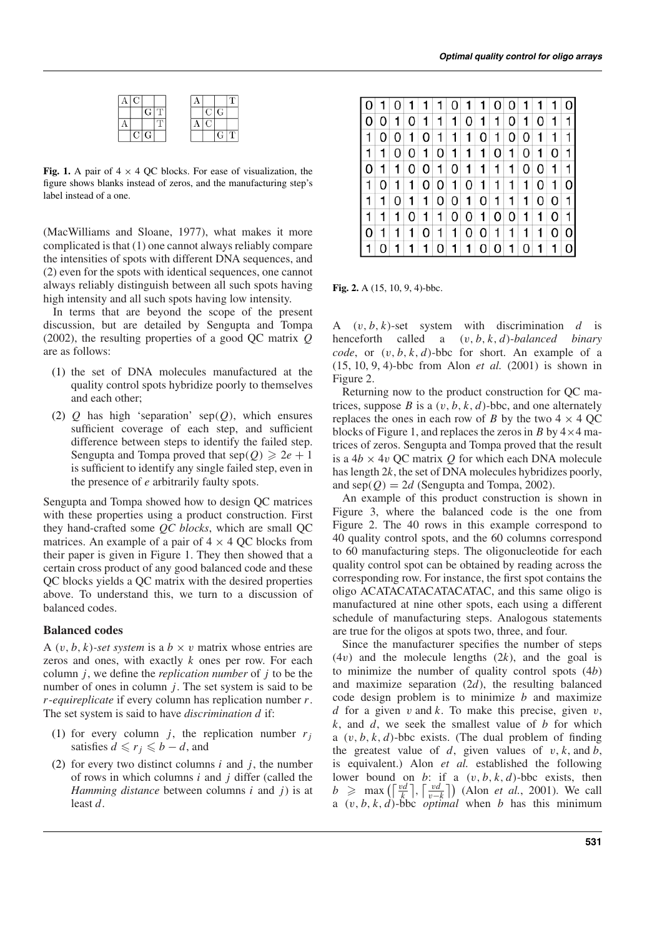|  |    | GIT |  |  | C G |                       |
|--|----|-----|--|--|-----|-----------------------|
|  |    |     |  |  |     |                       |
|  | СI | G   |  |  |     | $\overline{\text{T}}$ |

**Fig. 1.** A pair of  $4 \times 4$  QC blocks. For ease of visualization, the figure shows blanks instead of zeros, and the manufacturing step's label instead of a one.

(MacWilliams and Sloane, 1977), what makes it more complicated is that (1) one cannot always reliably compare the intensities of spots with different DNA sequences, and (2) even for the spots with identical sequences, one cannot always reliably distinguish between all such spots having high intensity and all such spots having low intensity.

In terms that are beyond the scope of the present discussion, but are detailed by Sengupta and Tompa (2002), the resulting properties of a good QC matrix *Q* are as follows:

- (1) the set of DNA molecules manufactured at the quality control spots hybridize poorly to themselves and each other;
- (2) *Q* has high 'separation' sep(*Q*), which ensures sufficient coverage of each step, and sufficient difference between steps to identify the failed step. Sengupta and Tompa proved that  $\text{sep}(Q) \geq 2e + 1$ is sufficient to identify any single failed step, even in the presence of *e* arbitrarily faulty spots.

Sengupta and Tompa showed how to design QC matrices with these properties using a product construction. First they hand-crafted some *QC blocks*, which are small QC matrices. An example of a pair of  $4 \times 4$  QC blocks from their paper is given in Figure 1. They then showed that a certain cross product of any good balanced code and these QC blocks yields a QC matrix with the desired properties above. To understand this, we turn to a discussion of balanced codes.

#### **Balanced codes**

A  $(v, b, k)$ -set system is a  $b \times v$  matrix whose entries are zeros and ones, with exactly *k* ones per row. For each column *j*, we define the *replication number* of *j* to be the number of ones in column *j*. The set system is said to be *r*-*equireplicate* if every column has replication number *r*. The set system is said to have *discrimination d* if:

- (1) for every column *j*, the replication number  $r_j$ satisfies  $d \leq r_j \leq b - d$ , and
- (2) for every two distinct columns  $i$  and  $j$ , the number of rows in which columns *i* and *j* differ (called the *Hamming distance* between columns *i* and *j*) is at least *d*.

|              |   | $\overline{0}$ | -1             | $\mathbf{1}$      | $\mathbf{1}$    |                   |                   |                   | 0 1 1 0 0 1 1       |                |                |              |              |    |
|--------------|---|----------------|----------------|-------------------|-----------------|-------------------|-------------------|-------------------|---------------------|----------------|----------------|--------------|--------------|----|
| l Ol         | 0 | $\mathbf{1}$   |                | $0 \vert 1 \vert$ |                 | $1 \vert 1 \vert$ |                   |                   | $0 \mid 1 \mid 1$   |                | 0 1            | 0            | 1            |    |
| l 1.         | 0 |                | 0 1            |                   | 0 1             |                   | $1 \vert 1 \vert$ |                   | 0 1                 | $\overline{0}$ | $\overline{0}$ | $\mathbf{1}$ | 1            |    |
| l 1          | 1 | $\overline{0}$ | $\overline{0}$ | $\vert$ 1         |                 | $0 \mid 1 \mid$   | $\overline{1}$    | $\mathbf{1}$      | $\overline{0}$      | $\mathbf{1}$   | 0              | $\mathbf{1}$ | 0            | 11 |
| l 0          | 1 | 1              | 0              | 0 1               |                 |                   | $0 \vert 1 \vert$ | $\vert$           | $\langle 1 \rangle$ | 1              | 0              | 0            | 1            |    |
| l 1          | 0 | $\mathbf{1}$   | $\mathbf{1}$   |                   |                 | 0 0 1             |                   | $0 \vert 1 \vert$ | $\cdot$ 1           | $\cdot$ 1      | $\cdot$ 1      | 0            | 1            | 01 |
| 1            | 1 | $\Omega$       | $\mathbf{1}$   | 1 <sup>1</sup>    |                 | 0 0 1             |                   |                   | $0 \vert 1 \vert$   | $\cdot$ 1      | 1              | 0            | 0            | 11 |
| $\mathbf{1}$ | 1 |                | $\overline{0}$ |                   | 1 1             |                   |                   |                   | 0 0 1 0 0 1         |                |                | $\mathbf{1}$ | 0            |    |
| l 0          | 1 |                | 1              |                   | $0 \mid 1 \mid$ | 11                |                   |                   | 0 0 1               | $\mathbf{1}$   | $\overline{1}$ | 1            | 0            | 01 |
|              | 0 | $\mathbf{1}$   | 1              | $\mathbf{1}$      |                 |                   |                   |                   | 0 1 1 0 0 1 0 1     |                |                |              | $\mathbf{1}$ |    |

**Fig. 2.** A (15, 10, 9, 4)-bbc.

A  $(v, b, k)$ -set system with discrimination *d* is henceforth called a (v, *b*, *k*, *d*)-*balanced binary code*, or  $(v, b, k, d)$ -bbc for short. An example of a (15, 10, 9, 4)-bbc from Alon *et al.* (2001) is shown in Figure 2.

Returning now to the product construction for QC matrices, suppose *B* is a  $(v, b, k, d)$ -bbc, and one alternately replaces the ones in each row of *B* by the two  $4 \times 4$  QC blocks of Figure 1, and replaces the zeros in *B* by  $4 \times 4$  matrices of zeros. Sengupta and Tompa proved that the result is a  $4b \times 4v$  QC matrix *Q* for which each DNA molecule has length 2*k*, the set of DNA molecules hybridizes poorly, and  $\text{sep}(Q) = 2d$  (Sengupta and Tompa, 2002).

An example of this product construction is shown in Figure 3, where the balanced code is the one from Figure 2. The 40 rows in this example correspond to 40 quality control spots, and the 60 columns correspond to 60 manufacturing steps. The oligonucleotide for each quality control spot can be obtained by reading across the corresponding row. For instance, the first spot contains the oligo ACATACATACATACATAC, and this same oligo is manufactured at nine other spots, each using a different schedule of manufacturing steps. Analogous statements are true for the oligos at spots two, three, and four.

Since the manufacturer specifies the number of steps (4v) and the molecule lengths (2*k*), and the goal is to minimize the number of quality control spots (4*b*) and maximize separation (2*d*), the resulting balanced code design problem is to minimize *b* and maximize *d* for a given  $v$  and  $k$ . To make this precise, given  $v$ , *k*, and *d*, we seek the smallest value of *b* for which a (v, *b*, *k*, *d*)-bbc exists. (The dual problem of finding the greatest value of  $d$ , given values of  $v$ ,  $k$ , and  $b$ , is equivalent.) Alon *et al.* established the following lower bound on *b*: if a  $(v, b, k, d)$ -bbc exists, then  $b \geq \max\left(\left\lceil \frac{vd}{k} \right\rceil, \left\lceil \frac{vd}{v-k} \right\rceil\right)$  (Alon *et al.*, 2001). We call a  $(v, b, k, d)$ -bbc *optimal* when *b* has this minimum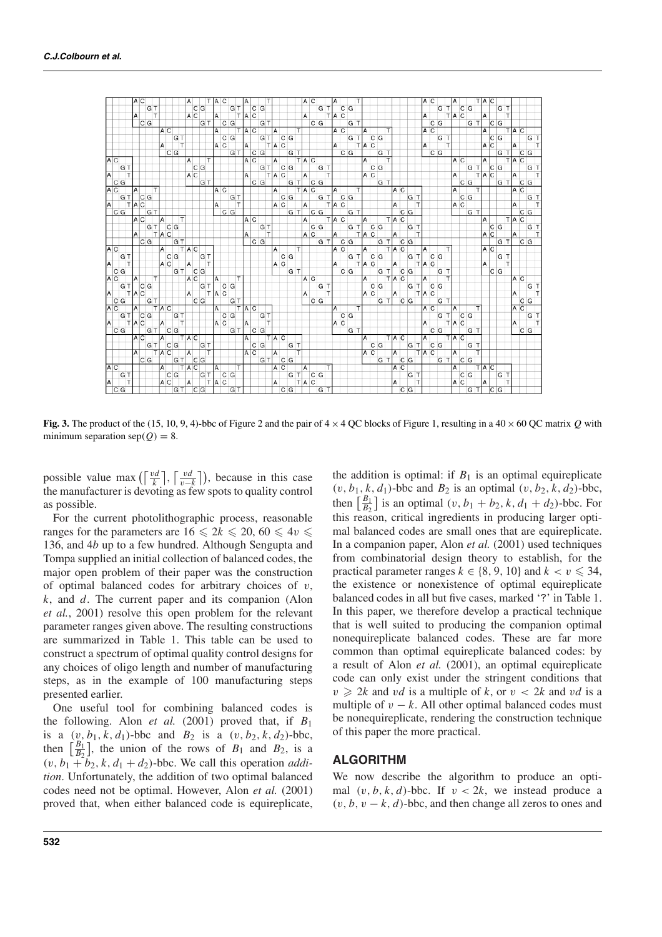

**Fig. 3.** The product of the (15, 10, 9, 4)-bbc of Figure 2 and the pair of  $4 \times 4$  QC blocks of Figure 1, resulting in a  $40 \times 60$  QC matrix *Q* with minimum separation  $\text{sep}(Q) = 8$ .

possible value max  $(\frac{vd}{k})$ ,  $\frac{vd}{v-k}$ ), because in this case the manufacturer is devoting as few spots to quality control as possible.

For the current photolithographic process, reasonable ranges for the parameters are  $16 \le 2k \le 20, 60 \le 4v \le 2k$ 136, and 4*b* up to a few hundred. Although Sengupta and Tompa supplied an initial collection of balanced codes, the major open problem of their paper was the construction of optimal balanced codes for arbitrary choices of  $v$ , *k*, and *d*. The current paper and its companion (Alon *et al.*, 2001) resolve this open problem for the relevant parameter ranges given above. The resulting constructions are summarized in Table 1. This table can be used to construct a spectrum of optimal quality control designs for any choices of oligo length and number of manufacturing steps, as in the example of 100 manufacturing steps presented earlier.

One useful tool for combining balanced codes is the following. Alon *et al.* (2001) proved that, if *B*<sup>1</sup> is a  $(v, b_1, k, d_1)$ -bbc and  $B_2$  is a  $(v, b_2, k, d_2)$ -bbc, then  $\left[\frac{B_1}{B_2}\right]$ , the union of the rows of  $B_1$  and  $B_2$ , is a  $(v, b_1 + b_2, k, d_1 + d_2)$ -bbc. We call this operation *addition*. Unfortunately, the addition of two optimal balanced codes need not be optimal. However, Alon *et al.* (2001) proved that, when either balanced code is equireplicate, the addition is optimal: if  $B_1$  is an optimal equireplicate  $(v, b_1, k, d_1)$ -bbc and  $B_2$  is an optimal  $(v, b_2, k, d_2)$ -bbc, then  $\left[\frac{B_1}{B_2}\right]$  is an optimal  $(v, b_1 + b_2, k, d_1 + d_2)$ -bbc. For this reason, critical ingredients in producing larger optimal balanced codes are small ones that are equireplicate. In a companion paper, Alon *et al.* (2001) used techniques from combinatorial design theory to establish, for the practical parameter ranges  $k \in \{8, 9, 10\}$  and  $k < v \leq 34$ , the existence or nonexistence of optimal equireplicate balanced codes in all but five cases, marked '?' in Table 1. In this paper, we therefore develop a practical technique that is well suited to producing the companion optimal nonequireplicate balanced codes. These are far more common than optimal equireplicate balanced codes: by a result of Alon *et al.* (2001), an optimal equireplicate code can only exist under the stringent conditions that  $v \ge 2k$  and *vd* is a multiple of k, or  $v < 2k$  and *vd* is a multiple of  $v - k$ . All other optimal balanced codes must be nonequireplicate, rendering the construction technique of this paper the more practical.

# **ALGORITHM**

We now describe the algorithm to produce an optimal  $(v, b, k, d)$ -bbc. If  $v < 2k$ , we instead produce a  $(v, b, v - k, d)$ -bbc, and then change all zeros to ones and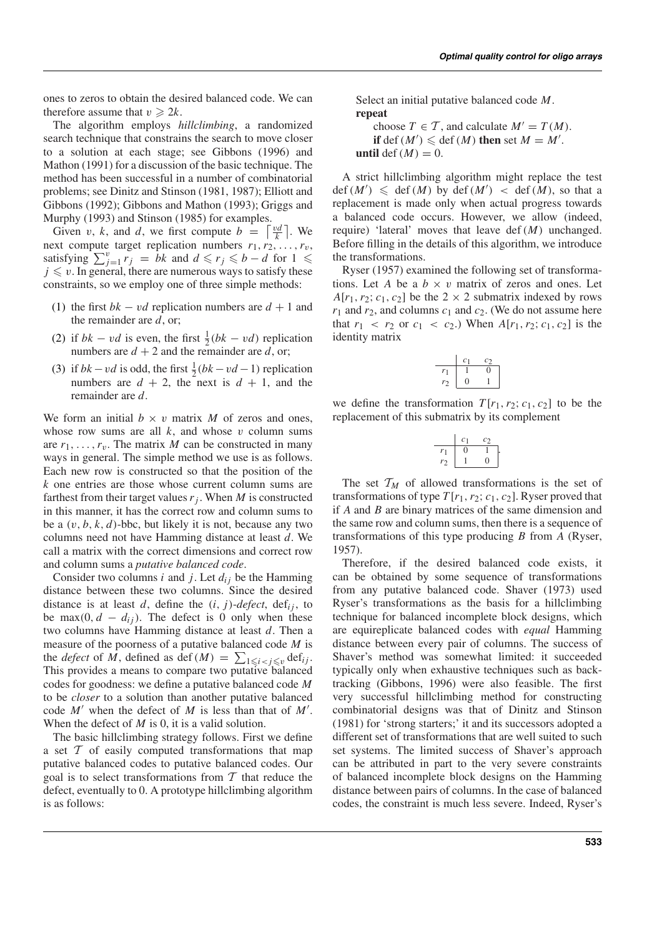ones to zeros to obtain the desired balanced code. We can therefore assume that  $v \ge 2k$ .

The algorithm employs *hillclimbing*, a randomized search technique that constrains the search to move closer to a solution at each stage; see Gibbons (1996) and Mathon (1991) for a discussion of the basic technique. The method has been successful in a number of combinatorial problems; see Dinitz and Stinson (1981, 1987); Elliott and Gibbons (1992); Gibbons and Mathon (1993); Griggs and Murphy (1993) and Stinson (1985) for examples.

Given v, k, and d, we first compute  $b = \left\lceil \frac{vd}{k} \right\rceil$ . We next compute target replication numbers  $r_1, r_2, \ldots, r_v$ , satisfying  $\sum_{j=1}^{v} r_j = bk$  and  $d \leq r_j \leq b - d$  for  $1 \leq$  $j \leq v$ . In general, there are numerous ways to satisfy these constraints, so we employ one of three simple methods:

- (1) the first  $bk vd$  replication numbers are  $d + 1$  and the remainder are *d*, or;
- (2) if  $bk vd$  is even, the first  $\frac{1}{2}(bk vd)$  replication numbers are  $d + 2$  and the remainder are d, or;
- (3) if  $bk vd$  is odd, the first  $\frac{1}{2}(bk vd 1)$  replication numbers are  $d + 2$ , the next is  $d + 1$ , and the remainder are *d*.

We form an initial  $b \times v$  matrix M of zeros and ones, whose row sums are all  $k$ , and whose  $v$  column sums are  $r_1, \ldots, r_v$ . The matrix *M* can be constructed in many ways in general. The simple method we use is as follows. Each new row is constructed so that the position of the *k* one entries are those whose current column sums are farthest from their target values  $r_j$ . When *M* is constructed in this manner, it has the correct row and column sums to be a  $(v, b, k, d)$ -bbc, but likely it is not, because any two columns need not have Hamming distance at least *d*. We call a matrix with the correct dimensions and correct row and column sums a *putative balanced code*.

Consider two columns  $i$  and  $j$ . Let  $d_{ij}$  be the Hamming distance between these two columns. Since the desired distance is at least *d*, define the  $(i, j)$ -*defect*, def<sub>i</sub>, to be max $(0, d - d_{ij})$ . The defect is 0 only when these two columns have Hamming distance at least *d*. Then a measure of the poorness of a putative balanced code *M* is the *defect* of *M*, defined as def(*M*) =  $\sum_{1 \leq i < j \leq v} \text{def}_{ij}$ . This provides a means to compare two putative balanced codes for goodness: we define a putative balanced code *M* to be *closer* to a solution than another putative balanced code  $M'$  when the defect of  $M$  is less than that of  $M'$ . When the defect of *M* is 0, it is a valid solution.

The basic hillclimbing strategy follows. First we define a set  $T$  of easily computed transformations that map putative balanced codes to putative balanced codes. Our goal is to select transformations from  $T$  that reduce the defect, eventually to 0. A prototype hillclimbing algorithm is as follows:

Select an initial putative balanced code *M*. **repeat**

choose  $T \in \mathcal{T}$ , and calculate  $M' = T(M)$ . **if** def(*M'*)  $\leq$  def(*M*) **then** set  $M = M'$ . **until** def  $(M) = 0$ .

A strict hillclimbing algorithm might replace the test  $\det(M') \leq \det(M)$  by  $\det(M') < \det(M)$ , so that a replacement is made only when actual progress towards a balanced code occurs. However, we allow (indeed, require) 'lateral' moves that leave def(*M*) unchanged. Before filling in the details of this algorithm, we introduce the transformations.

Ryser (1957) examined the following set of transformations. Let *A* be a  $b \times v$  matrix of zeros and ones. Let  $A[r_1, r_2; c_1, c_2]$  be the 2  $\times$  2 submatrix indexed by rows  $r_1$  and  $r_2$ , and columns  $c_1$  and  $c_2$ . (We do not assume here that  $r_1$  <  $r_2$  or  $c_1$  <  $c_2$ .) When  $A[r_1, r_2; c_1, c_2]$  is the identity matrix

$$
\begin{array}{c|cc}\n & c_1 & c_2 \\
\hline\nr_1 & 1 & 0 \\
r_2 & 0 & 1\n\end{array}
$$

we define the transformation  $T[r_1, r_2; c_1, c_2]$  to be the replacement of this submatrix by its complement

| $\mathcal{C}_{\mathcal{C}}$ | Cη |  |
|-----------------------------|----|--|
|                             |    |  |
|                             | 0  |  |

The set  $T_M$  of allowed transformations is the set of transformations of type  $T[r_1, r_2; c_1, c_2]$ . Ryser proved that if *A* and *B* are binary matrices of the same dimension and the same row and column sums, then there is a sequence of transformations of this type producing *B* from *A* (Ryser, 1957).

Therefore, if the desired balanced code exists, it can be obtained by some sequence of transformations from any putative balanced code. Shaver (1973) used Ryser's transformations as the basis for a hillclimbing technique for balanced incomplete block designs, which are equireplicate balanced codes with *equal* Hamming distance between every pair of columns. The success of Shaver's method was somewhat limited: it succeeded typically only when exhaustive techniques such as backtracking (Gibbons, 1996) were also feasible. The first very successful hillclimbing method for constructing combinatorial designs was that of Dinitz and Stinson (1981) for 'strong starters;' it and its successors adopted a different set of transformations that are well suited to such set systems. The limited success of Shaver's approach can be attributed in part to the very severe constraints of balanced incomplete block designs on the Hamming distance between pairs of columns. In the case of balanced codes, the constraint is much less severe. Indeed, Ryser's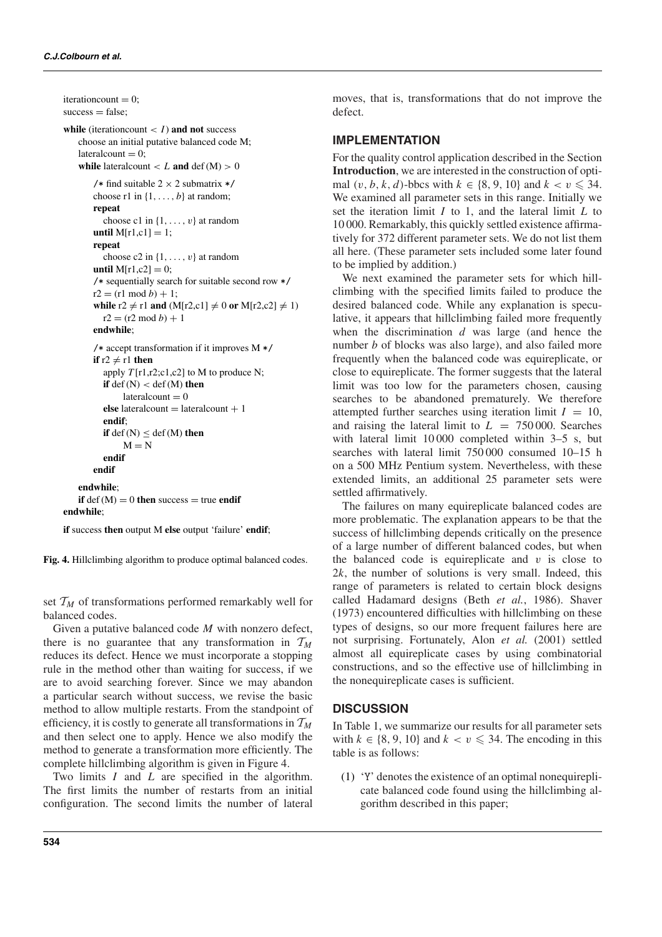```
iterationcount = 0:
success = false;
while (iterationcount \lt I) and not success
   choose an initial putative balanced code M;
   lateralcount = 0:
   while lateral count  < L and def (M) > 0/* find suitable 2 \times 2 submatrix */
       choose r1 in \{1, \ldots, b\} at random;
       repeat
          choose c1 in \{1, \ldots, v\} at random
       until M[r1,c1] = 1;repeat
          choose c2 in \{1, \ldots, v\} at random
       until M[r1,c2] = 0;
       /* sequentially search for suitable second row */
       r2 = (r1 \mod b) + 1;while r2 \neq r1 and (M[r2, c1] \neq 0 or M[r2, c2] \neq 1)r2 = (r2 \mod b) + 1endwhile;
       /* accept transformation if it improves M */
       if r2 \neq r1 then
          apply T[r1,r2;c1,c2] to M to produce N;
          if def (N) < def (M) then
               \text{lateralcount} = 0else lateralcount = lateralcount +1endif;
          if def (N) < def (M) then
               M = Nendif
       endif
   endwhile;
   if def(M) = 0 then success = true endif
endwhile;
```
**if** success **then** output M **else** output 'failure' **endif**;

**Fig. 4.** Hillclimbing algorithm to produce optimal balanced codes.

set  $T_M$  of transformations performed remarkably well for balanced codes.

Given a putative balanced code *M* with nonzero defect, there is no guarantee that any transformation in  $T_M$ reduces its defect. Hence we must incorporate a stopping rule in the method other than waiting for success, if we are to avoid searching forever. Since we may abandon a particular search without success, we revise the basic method to allow multiple restarts. From the standpoint of efficiency, it is costly to generate all transformations in T*<sup>M</sup>* and then select one to apply. Hence we also modify the method to generate a transformation more efficiently. The complete hillclimbing algorithm is given in Figure 4.

Two limits *I* and *L* are specified in the algorithm. The first limits the number of restarts from an initial configuration. The second limits the number of lateral moves, that is, transformations that do not improve the defect.

## **IMPLEMENTATION**

For the quality control application described in the Section **Introduction**, we are interested in the construction of optimal  $(v, b, k, d)$ -bbcs with  $k \in \{8, 9, 10\}$  and  $k < v \le 34$ . We examined all parameter sets in this range. Initially we set the iteration limit *I* to 1, and the lateral limit *L* to 10 000. Remarkably, this quickly settled existence affirmatively for 372 different parameter sets. We do not list them all here. (These parameter sets included some later found to be implied by addition.)

We next examined the parameter sets for which hillclimbing with the specified limits failed to produce the desired balanced code. While any explanation is speculative, it appears that hillclimbing failed more frequently when the discrimination *d* was large (and hence the number *b* of blocks was also large), and also failed more frequently when the balanced code was equireplicate, or close to equireplicate. The former suggests that the lateral limit was too low for the parameters chosen, causing searches to be abandoned prematurely. We therefore attempted further searches using iteration limit  $I = 10$ , and raising the lateral limit to  $L = 750000$ . Searches with lateral limit 10000 completed within 3–5 s, but searches with lateral limit 750 000 consumed 10–15 h on a 500 MHz Pentium system. Nevertheless, with these extended limits, an additional 25 parameter sets were settled affirmatively.

The failures on many equireplicate balanced codes are more problematic. The explanation appears to be that the success of hillclimbing depends critically on the presence of a large number of different balanced codes, but when the balanced code is equireplicate and  $v$  is close to 2*k*, the number of solutions is very small. Indeed, this range of parameters is related to certain block designs called Hadamard designs (Beth *et al.*, 1986). Shaver (1973) encountered difficulties with hillclimbing on these types of designs, so our more frequent failures here are not surprising. Fortunately, Alon *et al.* (2001) settled almost all equireplicate cases by using combinatorial constructions, and so the effective use of hillclimbing in the nonequireplicate cases is sufficient.

## **DISCUSSION**

In Table 1, we summarize our results for all parameter sets with  $k \in \{8, 9, 10\}$  and  $k < v \leq 34$ . The encoding in this table is as follows:

(1) 'Y' denotes the existence of an optimal nonequireplicate balanced code found using the hillclimbing algorithm described in this paper;